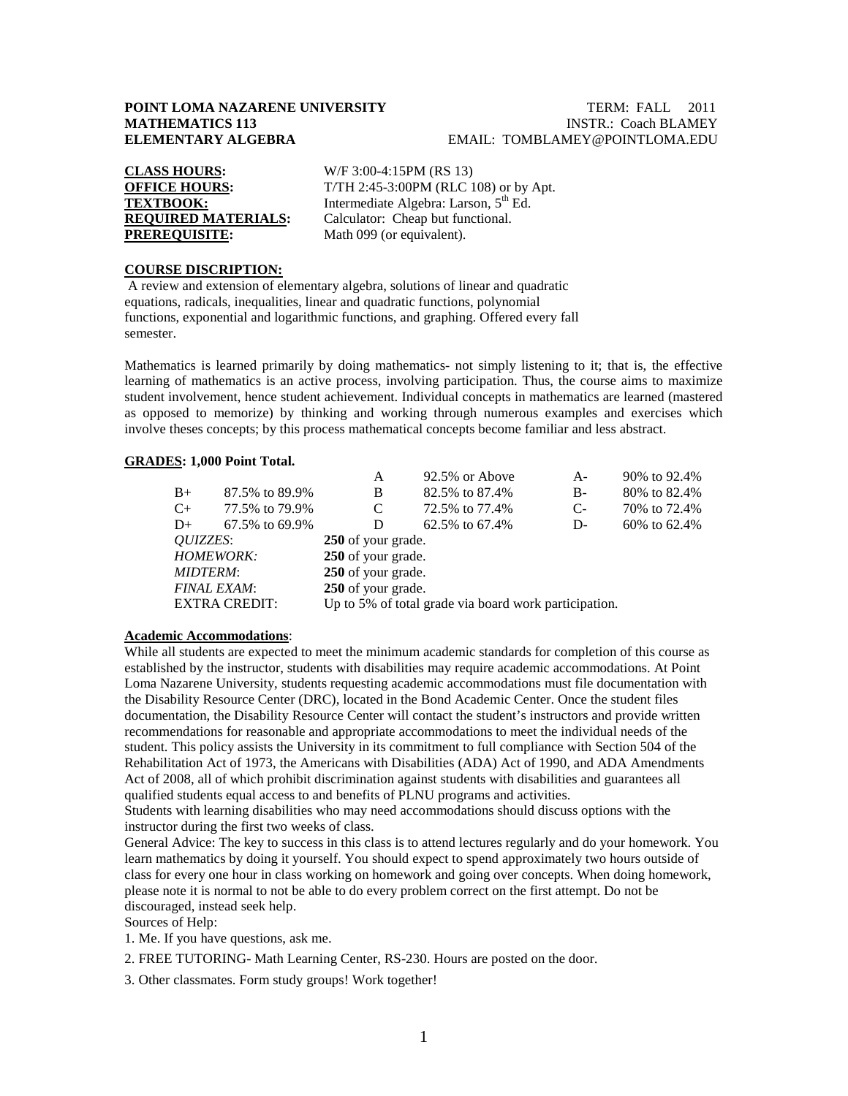## **POINT LOMA NAZARENE UNIVERSITY TERM: FALL 2011**<br>**MATHEMATICS 113** INSTR.: Coach BLAMEY **INSTR.: Coach BLAMEY ELEMENTARY ALGEBRA** EMAIL: TOMBLAMEY@POINTLOMA.EDU

| <b>CLASS HOURS:</b>        |
|----------------------------|
| <b>OFFICE HOURS:</b>       |
| <b>TEXTBOOK:</b>           |
| <b>REQUIRED MATERIALS:</b> |
| <b>PREREQUISITE:</b>       |

**CLASS HOURS:** W/F 3:00-4:15PM (RS 13) T/TH 2:45-3:00PM (RLC 108) or by Apt. Intermediate Algebra: Larson, 5<sup>th</sup> Ed. Calculator: Cheap but functional. Math 099 (or equivalent).

## **COURSE DISCRIPTION:**

A review and extension of elementary algebra, solutions of linear and quadratic equations, radicals, inequalities, linear and quadratic functions, polynomial functions, exponential and logarithmic functions, and graphing. Offered every fall semester.

Mathematics is learned primarily by doing mathematics- not simply listening to it; that is, the effective learning of mathematics is an active process, involving participation. Thus, the course aims to maximize student involvement, hence student achievement. Individual concepts in mathematics are learned (mastered as opposed to memorize) by thinking and working through numerous examples and exercises which involve theses concepts; by this process mathematical concepts become familiar and less abstract.

### **GRADES : 1,000 Point Total.**

|                      |                | A                                                     | 92.5% or Above | $A -$ | 90% to 92.4%   |  |  |
|----------------------|----------------|-------------------------------------------------------|----------------|-------|----------------|--|--|
| $B+$                 | 87.5% to 89.9% | B                                                     | 82.5% to 87.4% | $B-$  | 80% to 82.4%   |  |  |
| $C_{+}$              | 77.5% to 79.9% | C                                                     | 72.5% to 77.4% | $C-$  | 70\% to 72.4\% |  |  |
| $D+$                 | 67.5% to 69.9% | D                                                     | 62.5% to 67.4% | D-    | 60\% to 62.4\% |  |  |
| <i>OUIZZES:</i>      |                | 250 of your grade.                                    |                |       |                |  |  |
| <b>HOMEWORK:</b>     |                | 250 of your grade.                                    |                |       |                |  |  |
| <b>MIDTERM:</b>      |                | 250 of your grade.                                    |                |       |                |  |  |
| <b>FINAL EXAM:</b>   |                | 250 of your grade.                                    |                |       |                |  |  |
| <b>EXTRA CREDIT:</b> |                | Up to 5% of total grade via board work participation. |                |       |                |  |  |
|                      |                |                                                       |                |       |                |  |  |

### **Academic Accommodations** :

While all students are expected to meet the minimum academic standards for completion of this course as established by the instructor, students with disabilities may require academic accommodations. At Point Loma Nazarene University, students requesting academic accommodations must file documentation with the Disability Resource Center (DRC), located in the Bond Academic Center. Once the student files documentation, the Disability Resource Center will contact the student's instructors and provide written recommendations for reasonable and appropriate accommodations to meet the individual needs of the student. This policy assists the University in its commitment to full compliance with Section 504 of the Rehabilitation Act of 1973, the Americans with Disabilities (ADA) Act of 1990, and ADA Amendments Act of 2008, all of which prohibit discrimination against students with disabilities and guarantees all qualified students equal access to and benefits of PLNU programs and activities.

Students with learning disabilities who may need accommodations should discuss options with the instructor during the first two weeks of class.

General Advice: The key to success in this class is to attend lectures regularly and do your homework. You learn mathematics by doing it yourself. You should expect to spend approximately two hours outside of class for every one hour in class working on homework and going over concepts. When doing homework, please note it is normal to not be able to do every problem correct on the first attempt. Do not be discouraged, instead seek help.

Sources of Help:

1. Me. If you have questions, ask me.

2. FREE TUTORING- Math Learning Center, RS-230. Hours are posted on the door.

3. Other classmates. Form study groups! Work together!